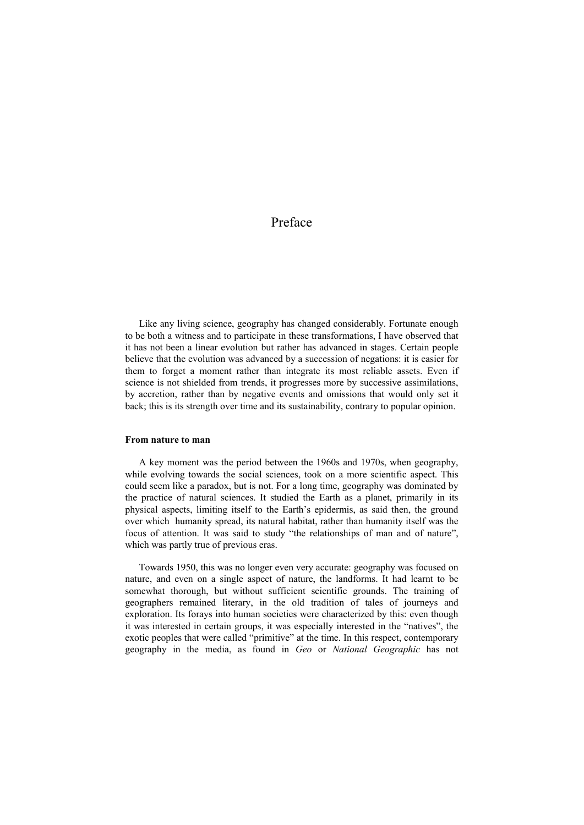# Preface

Like any living science, geography has changed considerably. Fortunate enough to be both a witness and to participate in these transformations, I have observed that it has not been a linear evolution but rather has advanced in stages. Certain people believe that the evolution was advanced by a succession of negations: it is easier for them to forget a moment rather than integrate its most reliable assets. Even if science is not shielded from trends, it progresses more by successive assimilations, by accretion, rather than by negative events and omissions that would only set it back; this is its strength over time and its sustainability, contrary to popular opinion.

### **From nature to man**

A key moment was the period between the 1960s and 1970s, when geography, while evolving towards the social sciences, took on a more scientific aspect. This could seem like a paradox, but is not. For a long time, geography was dominated by the practice of natural sciences. It studied the Earth as a planet, primarily in its physical aspects, limiting itself to the Earth's epidermis, as said then, the ground over which humanity spread, its natural habitat, rather than humanity itself was the focus of attention. It was said to study "the relationships of man and of nature", which was partly true of previous eras.

Towards 1950, this was no longer even very accurate: geography was focused on nature, and even on a single aspect of nature, the landforms. It had learnt to be somewhat thorough, but without sufficient scientific grounds. The training of geographers remained literary, in the old tradition of tales of journeys and exploration. Its forays into human societies were characterized by this: even though it was interested in certain groups, it was especially interested in the "natives", the exotic peoples that were called "primitive" at the time. In this respect, contemporary geography in the media, as found in *Geo* or *National Geographic* has not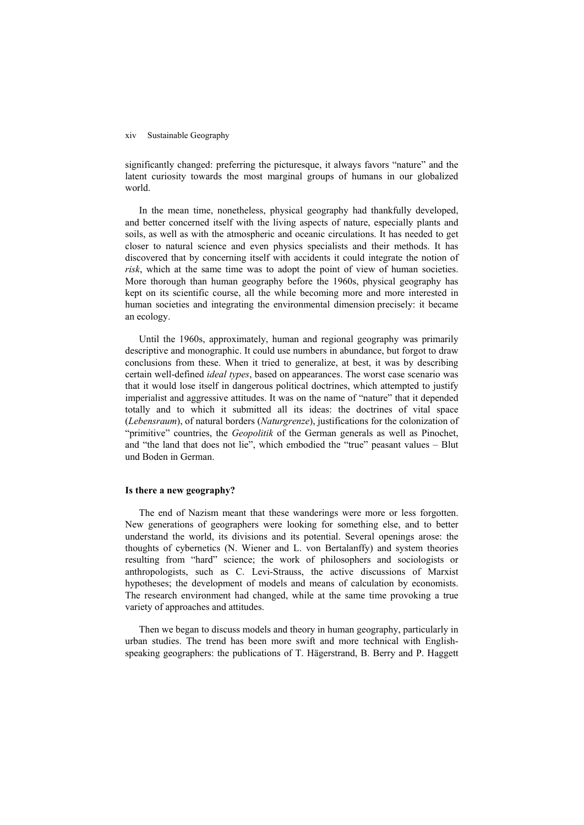#### xiv Sustainable Geography

significantly changed: preferring the picturesque, it always favors "nature" and the latent curiosity towards the most marginal groups of humans in our globalized world.

In the mean time, nonetheless, physical geography had thankfully developed, and better concerned itself with the living aspects of nature, especially plants and soils, as well as with the atmospheric and oceanic circulations. It has needed to get closer to natural science and even physics specialists and their methods. It has discovered that by concerning itself with accidents it could integrate the notion of *risk*, which at the same time was to adopt the point of view of human societies. More thorough than human geography before the 1960s, physical geography has kept on its scientific course, all the while becoming more and more interested in human societies and integrating the environmental dimension precisely: it became an ecology.

Until the 1960s, approximately, human and regional geography was primarily descriptive and monographic. It could use numbers in abundance, but forgot to draw conclusions from these. When it tried to generalize, at best, it was by describing certain well-defined *ideal types*, based on appearances. The worst case scenario was that it would lose itself in dangerous political doctrines, which attempted to justify imperialist and aggressive attitudes. It was on the name of "nature" that it depended totally and to which it submitted all its ideas: the doctrines of vital space (*Lebensraum*), of natural borders (*Naturgrenze*), justifications for the colonization of "primitive" countries, the *Geopolitik* of the German generals as well as Pinochet, and "the land that does not lie", which embodied the "true" peasant values – Blut und Boden in German.

### **Is there a new geography?**

The end of Nazism meant that these wanderings were more or less forgotten. New generations of geographers were looking for something else, and to better understand the world, its divisions and its potential. Several openings arose: the thoughts of cybernetics (N. Wiener and L. von Bertalanffy) and system theories resulting from "hard" science; the work of philosophers and sociologists or anthropologists, such as C. Levi-Strauss, the active discussions of Marxist hypotheses; the development of models and means of calculation by economists. The research environment had changed, while at the same time provoking a true variety of approaches and attitudes.

Then we began to discuss models and theory in human geography, particularly in urban studies. The trend has been more swift and more technical with Englishspeaking geographers: the publications of T. Hägerstrand, B. Berry and P. Haggett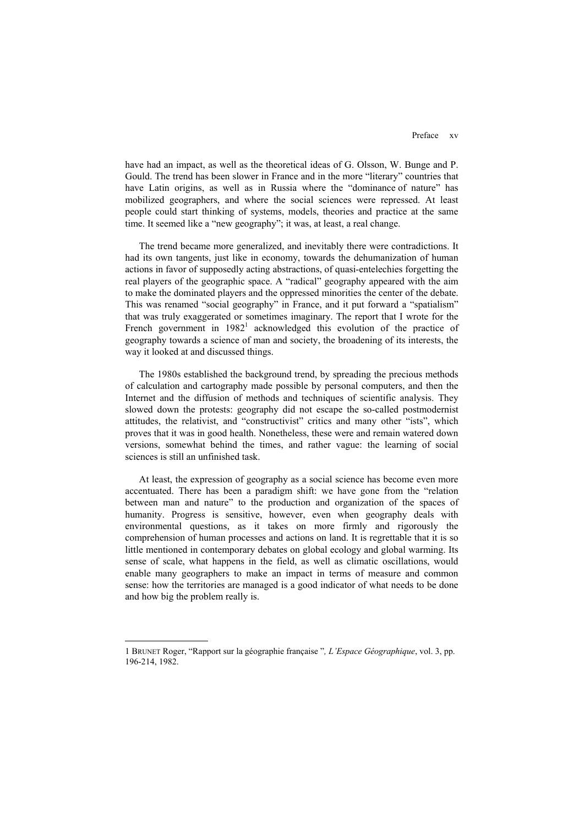have had an impact, as well as the theoretical ideas of G. Olsson, W. Bunge and P. Gould. The trend has been slower in France and in the more "literary" countries that have Latin origins, as well as in Russia where the "dominance of nature" has mobilized geographers, and where the social sciences were repressed. At least people could start thinking of systems, models, theories and practice at the same time. It seemed like a "new geography"; it was, at least, a real change.

The trend became more generalized, and inevitably there were contradictions. It had its own tangents, just like in economy, towards the dehumanization of human actions in favor of supposedly acting abstractions, of quasi-entelechies forgetting the real players of the geographic space. A "radical" geography appeared with the aim to make the dominated players and the oppressed minorities the center of the debate. This was renamed "social geography" in France, and it put forward a "spatialism" that was truly exaggerated or sometimes imaginary. The report that I wrote for the French government in  $1982<sup>1</sup>$  acknowledged this evolution of the practice of geography towards a science of man and society, the broadening of its interests, the way it looked at and discussed things.

The 1980s established the background trend, by spreading the precious methods of calculation and cartography made possible by personal computers, and then the Internet and the diffusion of methods and techniques of scientific analysis. They slowed down the protests: geography did not escape the so-called postmodernist attitudes, the relativist, and "constructivist" critics and many other "ists", which proves that it was in good health. Nonetheless, these were and remain watered down versions, somewhat behind the times, and rather vague: the learning of social sciences is still an unfinished task.

At least, the expression of geography as a social science has become even more accentuated. There has been a paradigm shift: we have gone from the "relation between man and nature" to the production and organization of the spaces of humanity. Progress is sensitive, however, even when geography deals with environmental questions, as it takes on more firmly and rigorously the comprehension of human processes and actions on land. It is regrettable that it is so little mentioned in contemporary debates on global ecology and global warming. Its sense of scale, what happens in the field, as well as climatic oscillations, would enable many geographers to make an impact in terms of measure and common sense: how the territories are managed is a good indicator of what needs to be done and how big the problem really is.

 $\overline{a}$ 

<sup>1</sup> BRUNET Roger, "Rapport sur la géographie française "*, L'Espace Géographique*, vol. 3, pp. 196-214, 1982.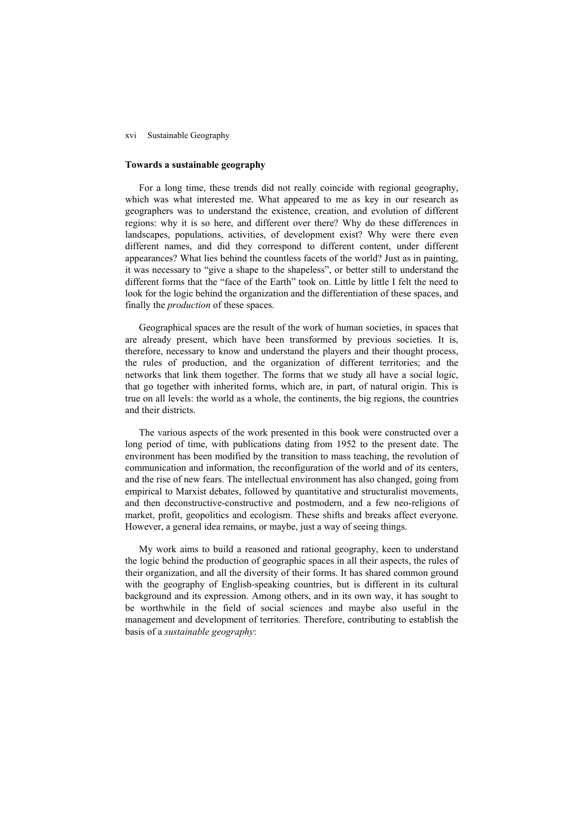### xvi Sustainable Geography

## **Towards a sustainable geography**

For a long time, these trends did not really coincide with regional geography, which was what interested me. What appeared to me as key in our research as geographers was to understand the existence, creation, and evolution of different regions: why it is so here, and different over there? Why do these differences in landscapes, populations, activities, of development exist? Why were there even different names, and did they correspond to different content, under different appearances? What lies behind the countless facets of the world? Just as in painting, it was necessary to "give a shape to the shapeless", or better still to understand the different forms that the "face of the Earth" took on. Little by little I felt the need to look for the logic behind the organization and the differentiation of these spaces, and finally the *production* of these spaces.

Geographical spaces are the result of the work of human societies, in spaces that are already present, which have been transformed by previous societies. It is, therefore, necessary to know and understand the players and their thought process, the rules of production, and the organization of different territories; and the networks that link them together. The forms that we study all have a social logic, that go together with inherited forms, which are, in part, of natural origin. This is true on all levels: the world as a whole, the continents, the big regions, the countries and their districts.

The various aspects of the work presented in this book were constructed over a long period of time, with publications dating from 1952 to the present date. The environment has been modified by the transition to mass teaching, the revolution of communication and information, the reconfiguration of the world and of its centers, and the rise of new fears. The intellectual environment has also changed, going from empirical to Marxist debates, followed by quantitative and structuralist movements, and then deconstructive-constructive and postmodern, and a few neo-religions of market, profit, geopolitics and ecologism. These shifts and breaks affect everyone. However, a general idea remains, or maybe, just a way of seeing things.

My work aims to build a reasoned and rational geography, keen to understand the logic behind the production of geographic spaces in all their aspects, the rules of their organization, and all the diversity of their forms. It has shared common ground with the geography of English-speaking countries, but is different in its cultural background and its expression. Among others, and in its own way, it has sought to be worthwhile in the field of social sciences and maybe also useful in the management and development of territories. Therefore, contributing to establish the basis of a *sustainable geography*: